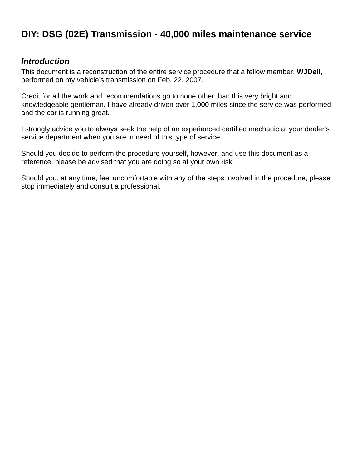# **DIY: DSG (02E) Transmission - 40,000 miles maintenance service**

#### *Introduction*

This document is a reconstruction of the entire service procedure that a fellow member, **WJDell**, performed on my vehicle's transmission on Feb. 22, 2007.

Credit for all the work and recommendations go to none other than this very bright and knowledgeable gentleman. I have already driven over 1,000 miles since the service was performed and the car is running great.

I strongly advice you to always seek the help of an experienced certified mechanic at your dealer's service department when you are in need of this type of service.

Should you decide to perform the procedure yourself, however, and use this document as a reference, please be advised that you are doing so at your own risk.

Should you, at any time, feel uncomfortable with any of the steps involved in the procedure, please stop immediately and consult a professional.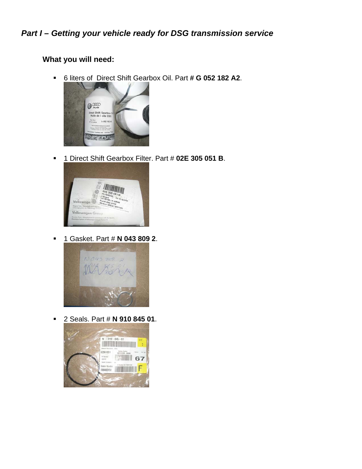## *Part I – Getting your vehicle ready for DSG transmission service*

## **What you will need:**

[6 liters of Direct Shift Gearb](http://i139.photobucket.com/albums/q303/LF06VWJTDI/40K%20DSG%20service/DSG_Oil.jpg)ox Oil. Part **# G 052 182 A2**.



[1 Direct Shift Gearbox Filter](http://i139.photobucket.com/albums/q303/LF06VWJTDI/40K%20DSG%20service/DSG_Filter.jpg). Part # **02E 305 051 B**.



[1 Gasket. Part #](http://i139.photobucket.com/albums/q303/LF06VWJTDI/40K%20DSG%20service/DSG_Gasket.jpg) **N 043 809 2**.



[2 Seals. Part #](http://i139.photobucket.com/albums/q303/LF06VWJTDI/40K%20DSG%20service/DSG_Seal.jpg) **N 910 845 01**.

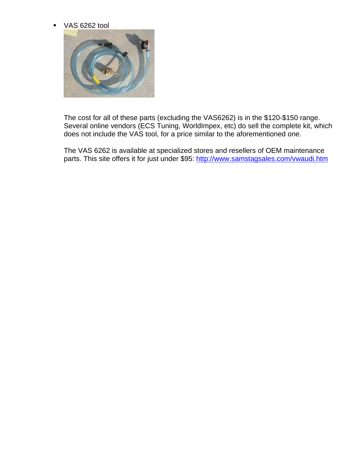**VAS 6262 tool** 



The cost for all of these parts (excluding the VAS6262) is in the \$120-\$150 range. Several online vendors (ECS Tuning, WorldImpex, etc) do sell the complete kit, which does not include the VAS tool, for a price similar to the aforementioned one.

The VAS 6262 is available at specialized stores and resellers of OEM maintenance parts. This site offers it for just under \$95:<http://www.samstagsales.com/vwaudi.htm>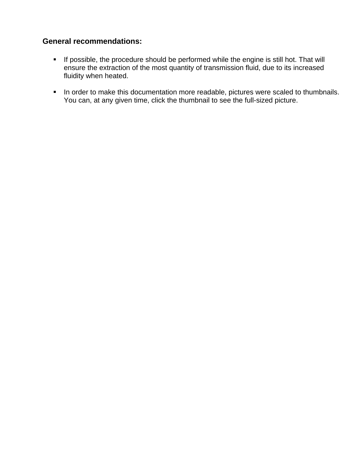### **General recommendations:**

- **If possible, the procedure should be performed while the engine is still hot. That will** ensure the extraction of the most quantity of transmission fluid, due to its increased fluidity when heated.
- **IF** In order to make this documentation more readable, pictures were scaled to thumbnails. You can, at any given time, click the thumbnail to see the full-sized picture.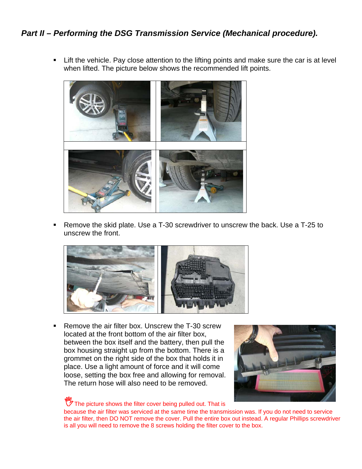## *Part II – Performing the DSG Transmission Service (Mechanical procedure).*

**EXTE:** Lift the vehicle. Pay close attention to the lifting points and make sure the car is at level when lifted. The picture below shows the recommended lift points.



 Remove the skid plate. Use a T-30 screwdriver to unscrew the back. Use a T-25 to unscrew the front.



■ Remove the air filter box. Unscrew the T-30 screw located at the front bottom of the air filter box, between the box itself and the battery, then pull the box housing straight up from the bottom. There is a grommet on the right side of the box that holds it in place. Use a light amount of force and it will come loose, setting the box free and allowing for removal. The return hose will also need to be removed.



 $\mathbb{C}$  The picture shows the filter cover being pulled out. That is

because the air filter was serviced at the same time the transmission was. If you do not need to service the air filter, then DO NOT remove the cover. Pull the entire box out instead. A regular Phillips screwdriver is all you will need to remove the 8 screws holding the filter cover to the box.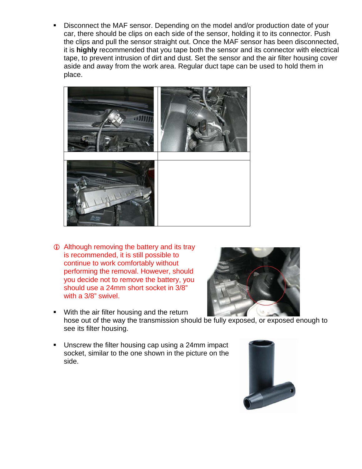**Disconnect the MAF sensor. Depending on the model and/or production date of your** car, there should be clips on each side of the sensor, holding it to its connector. Push the clips and pull the sensor straight out. Once the MAF sensor has been disconnected, it is **highly** recommended that you tape both the sensor and its connector with electrical tape, to prevent intrusion of dirt and dust. Set the sensor and the air filter housing cover aside and away from the work area. Regular duct tape can be used to hold them in place.



**1** Although removing the battery and its tray is recommended, it is still possible to continue to work comfortably without performing the removal. However, should you decide not to remove the battery, you should use a 24mm short socket in 3/8" with a 3/8" swivel.



- **With the air filter housing and the return** hose out of the way the transmission should [be fully exposed, or exposed en](http://i139.photobucket.com/albums/q303/LF06VWJTDI/40K DSG service/DSGFilterhousing.jpg)ough to see its filter housing.
- **Unscrew the filter housing cap using a 24mm impact** socket, similar to the one shown in the picture on the side.

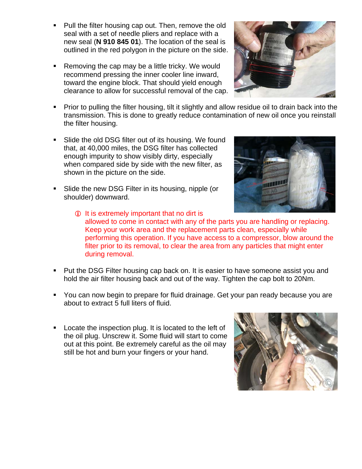- Pull the filter housing cap out. Then, remove the old seal with a set of needle pliers and replace with a new seal (**N 910 845 01**). The location of the seal is outlined in the red polygon in the picture on the side.
- Removing the cap may be a little tricky. We would recommend pressing the inner cooler line inward, toward the engine block. That should yield enough clearance to allow for successful removal of the cap.
- **Prior to pulling the filter housing, tilt it slightly and allow residue oil to drain back into the** transmission. This is done to greatly reduce contamination of new oil once you reinstall the filter housing.
- **Slide the old DSG filter out of its housing. We found** that, at 40,000 miles, the DSG filter has collected enough impurity to show visibly dirty, especially when compared side by side with the new filter, as shown in the picture on the side.
- **Slide the new DSG Filter in its housing, nipple (or** shoulder) downward.



- **Put the DSG Filter housing cap back on. It is easier to have someone assist you and** hold the air filter housing back and out of the way. Tighten the cap bolt to 20Nm.
- You can now begin to prepare for fluid drainage. Get your pan ready because you are about to extract 5 full liters of fluid.
- **Locate the inspection plug. It is located to the left of** the oil plug. Unscrew it. Some fluid will start to come out at this point. Be extremely careful as the oil may still be hot and burn your fingers or your hand.





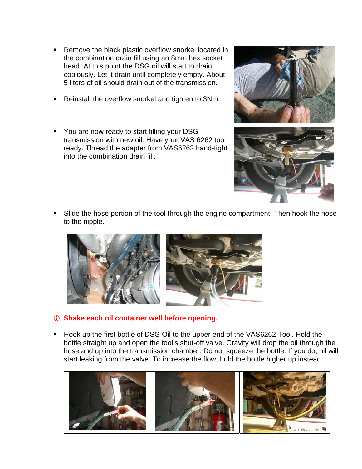- Remove the black plastic overflow snorkel located in the combination drain fill using an 8mm hex socket head. At this point the DSG oil will start to drain copiously. Let it drain until completely empty. About 5 liters of oil should drain out of the transmission.
- Reinstall the overflow snorkel and tighten to 3Nm.
- **You are now ready to start filling your DSG** transmission with new oil. Have your VAS 6262 tool ready. Thread the adapter from VAS6262 hand-tight into the combination drain fill.





 Slide the hose portion of the tool through the engine compartment. Then hook the hose to the nipple.



- L **Shake each oil container well before opening.**
- **Hook up the first bottle of DSG Oil to the upper end of the VAS6262 Tool. Hold the** bottle straight up and open the tool's shut-off valve. Gravity will drop the oil through the hose and up into the transmission chamber. Do not squeeze the bottle. If you do, oil will start leaking from the valve. To increase the flow, hold the bottle higher up instead.

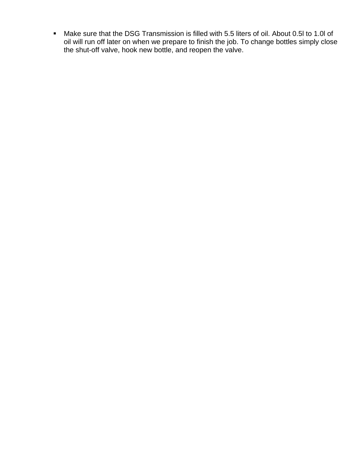Make sure that the DSG Transmission is filled with 5.5 liters of oil. About 0.5l to 1.0l of oil will run off later on when we prepare to finish the job. To change bottles simply close the shut-off valve, hook new bottle, and reopen the valve.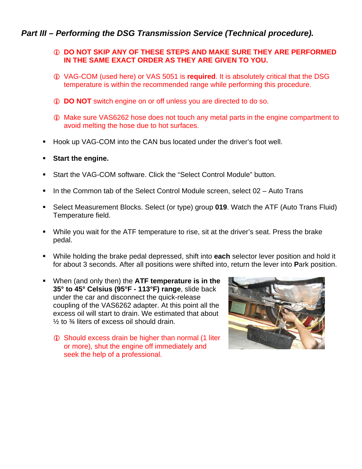### *Part III – Performing the DSG Transmission Service (Technical procedure).*

#### *C* **DO NOT SKIP ANY OF THESE STEPS AND MAKE SURE THEY ARE PERFORMED IN THE SAME EXACT ORDER AS THEY ARE GIVEN TO YOU.**

- L VAG-COM (used here) or VAS 5051 is **required**. It is absolutely critical that the DSG temperature is within the recommended range while performing this procedure.
- **1** DO NOT switch engine on or off unless you are directed to do so.
- L Make sure VAS6262 hose does not touch any metal parts in the engine compartment to avoid melting the hose due to hot surfaces.
- Hook up VAG-COM into the CAN bus located under the driver's foot well.
- **Start the engine.**
- Start the VAG-COM software. Click the "Select Control Module" button.
- In the Common tab of the Select Control Module screen, select 02 Auto Trans
- Select Measurement Blocks. Select (or type) group **019**. Watch the ATF (Auto Trans Fluid) Temperature field.
- While you wait for the ATF temperature to rise, sit at the driver's seat. Press the brake pedal.
- While holding the brake pedal depressed, shift into **each** selector lever position and hold it for about 3 seconds. After all positions were shifted into, return the lever into **P**ark position.
- When (and only then) the **ATF temperature is in the 35° to 45° Celsius (95°F - 113°F) range**, slide back under the car and disconnect the quick-release coupling of the VAS6262 adapter. At this point all the excess oil will start to drain. We estimated that about  $\frac{1}{2}$  to  $\frac{3}{4}$  liters of excess oil should drain.
	- **C** Should excess drain be higher than normal (1 liter or more), shut the engine off immediately and seek the help of a professional.